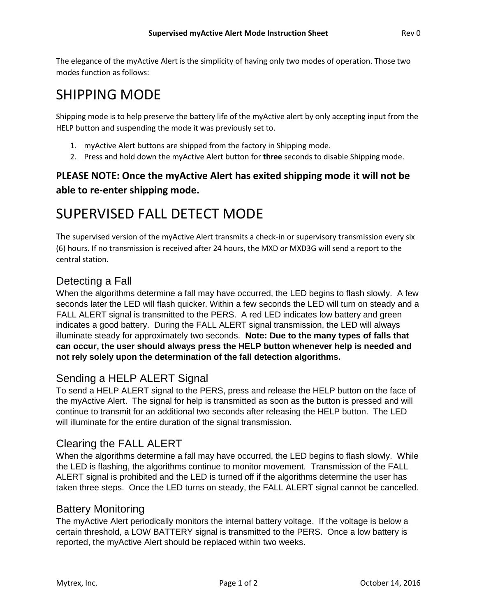The elegance of the myActive Alert is the simplicity of having only two modes of operation. Those two modes function as follows:

# SHIPPING MODE

Shipping mode is to help preserve the battery life of the myActive alert by only accepting input from the HELP button and suspending the mode it was previously set to.

- 1. myActive Alert buttons are shipped from the factory in Shipping mode.
- 2. Press and hold down the myActive Alert button for **three** seconds to disable Shipping mode.

## **PLEASE NOTE: Once the myActive Alert has exited shipping mode it will not be able to re-enter shipping mode.**

# SUPERVISED FALL DETECT MODE

The supervised version of the myActive Alert transmits a check-in or supervisory transmission every six (6) hours. If no transmission is received after 24 hours, the MXD or MXD3G will send a report to the central station.

## Detecting a Fall

When the algorithms determine a fall may have occurred, the LED begins to flash slowly. A few seconds later the LED will flash quicker. Within a few seconds the LED will turn on steady and a FALL ALERT signal is transmitted to the PERS. A red LED indicates low battery and green indicates a good battery. During the FALL ALERT signal transmission, the LED will always illuminate steady for approximately two seconds. **Note: Due to the many types of falls that can occur, the user should always press the HELP button whenever help is needed and not rely solely upon the determination of the fall detection algorithms.** 

## Sending a HELP ALERT Signal

To send a HELP ALERT signal to the PERS, press and release the HELP button on the face of the myActive Alert. The signal for help is transmitted as soon as the button is pressed and will continue to transmit for an additional two seconds after releasing the HELP button. The LED will illuminate for the entire duration of the signal transmission.

## Clearing the FALL ALERT

When the algorithms determine a fall may have occurred, the LED begins to flash slowly. While the LED is flashing, the algorithms continue to monitor movement. Transmission of the FALL ALERT signal is prohibited and the LED is turned off if the algorithms determine the user has taken three steps. Once the LED turns on steady, the FALL ALERT signal cannot be cancelled.

#### Battery Monitoring

The myActive Alert periodically monitors the internal battery voltage. If the voltage is below a certain threshold, a LOW BATTERY signal is transmitted to the PERS. Once a low battery is reported, the myActive Alert should be replaced within two weeks.